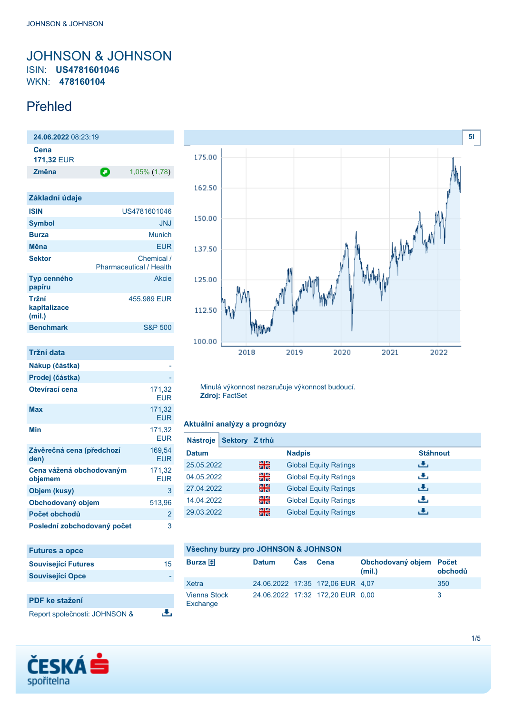# <span id="page-0-0"></span>JOHNSON & JOHNSON ISIN: **US4781601046** WKN: **478160104**

# Přehled

| 24.06.2022 08:23:19                 |                                              |
|-------------------------------------|----------------------------------------------|
| Cena<br><b>171,32 EUR</b>           |                                              |
| Změna                               | Θ<br>1,05% (1,78)                            |
|                                     |                                              |
| Základní údaje                      |                                              |
| <b>ISIN</b>                         | US4781601046                                 |
| <b>Symbol</b>                       | <b>JNJ</b>                                   |
| <b>Burza</b>                        | <b>Munich</b>                                |
| Měna                                | <b>EUR</b>                                   |
| <b>Sektor</b>                       | Chemical /<br><b>Pharmaceutical / Health</b> |
| <b>Typ cenného</b><br>papíru        | Akcie                                        |
| Tržní<br>kapitalizace<br>(mil.)     | 455.989 EUR                                  |
| <b>Benchmark</b>                    | <b>S&amp;P 500</b>                           |
|                                     |                                              |
| <b>Tržní data</b>                   |                                              |
| Nákup (částka)                      |                                              |
| Prodej (částka)                     |                                              |
| Otevírací cena                      | 171,32<br><b>EUR</b>                         |
| <b>Max</b>                          | 171,32<br><b>EUR</b>                         |
| Min                                 | 171,32<br><b>EUR</b>                         |
| Závěrečná cena (předchozí<br>den)   | 169,54<br><b>EUR</b>                         |
| Cena vážená obchodovaným<br>objemem | 171,32<br><b>EUR</b>                         |
| Objem (kusy)                        | 3                                            |
| Obchodovaný objem                   | 513,96                                       |
| Počet obchodů                       | $\overline{2}$                               |
| Poslední zobchodovaný počet         | 3                                            |

| <b>Futures a opce</b>         |    |
|-------------------------------|----|
| <b>Související Futures</b>    | 15 |
| <b>Související Opce</b>       |    |
|                               |    |
| <b>PDF</b> ke stažení         |    |
| Report společnosti: JOHNSON & |    |



Minulá výkonnost nezaručuje výkonnost budoucí. **Zdroj:** FactSet

## **Aktuální analýzy a prognózy**

| <b>Nástroje</b> | Sektory Z trhů |    |                              |                 |
|-----------------|----------------|----|------------------------------|-----------------|
| <b>Datum</b>    |                |    | <b>Nadpis</b>                | <b>Stáhnout</b> |
| 25.05.2022      |                | 픪쭍 | <b>Global Equity Ratings</b> | رنان            |
| 04.05.2022      |                | 읡ᅝ | <b>Global Equity Ratings</b> | رنان            |
| 27.04.2022      |                | 쯺  | <b>Global Equity Ratings</b> | رنان            |
| 14.04.2022      |                | 읡  | <b>Global Equity Ratings</b> | رنان            |
| 29.03.2022      |                | 쯺  | <b>Global Equity Ratings</b> | æ,              |
|                 |                |    |                              |                 |

### **Všechny burzy pro JOHNSON & JOHNSON**

| Burza $\bigoplus$               | <b>Datum</b> | <b>Cas</b> | Cena                             | Obchodovaný objem Počet<br>(mil.) | obchodů |
|---------------------------------|--------------|------------|----------------------------------|-----------------------------------|---------|
| Xetra                           |              |            | 24.06.2022 17:35 172,06 EUR 4,07 |                                   | 350     |
| <b>Vienna Stock</b><br>Exchange |              |            | 24.06.2022 17:32 172,20 EUR 0,00 |                                   |         |

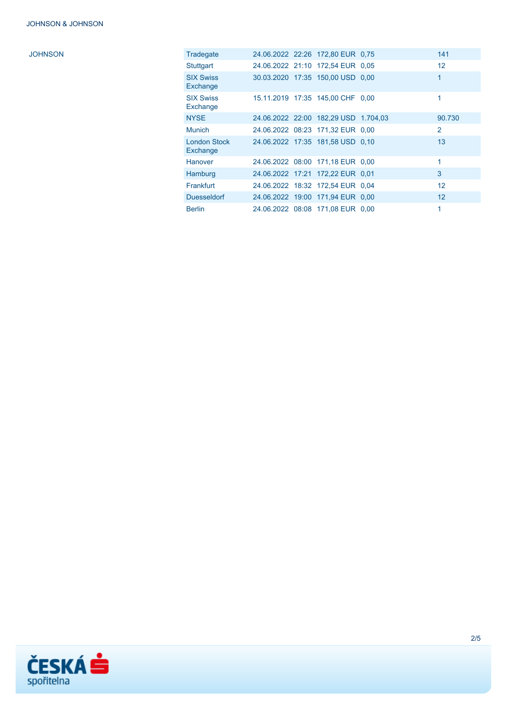| Tradegate                       |  | 24.06.2022 22:26 172,80 EUR 0.75     | 141            |
|---------------------------------|--|--------------------------------------|----------------|
| Stuttgart                       |  | 24.06.2022 21:10 172.54 EUR 0.05     | 12             |
| <b>SIX Swiss</b><br>Exchange    |  | 30.03.2020 17:35 150,00 USD 0,00     |                |
| <b>SIX Swiss</b><br>Exchange    |  | 15.11.2019 17:35 145,00 CHF 0,00     |                |
| <b>NYSE</b>                     |  | 24.06.2022 22:00 182,29 USD 1.704,03 | 90.730         |
| <b>Munich</b>                   |  | 24.06.2022 08:23 171,32 EUR 0.00     | $\overline{2}$ |
| <b>London Stock</b><br>Exchange |  | 24.06.2022 17:35 181,58 USD 0.10     | 13             |
| <b>Hanover</b>                  |  | 24.06.2022 08:00 171,18 EUR 0,00     |                |
| Hamburg                         |  | 24.06.2022 17:21 172,22 EUR 0,01     | 3              |
| Frankfurt                       |  | 24.06.2022 18:32 172.54 EUR 0.04     | 12             |
| <b>Duesseldorf</b>              |  | 24.06.2022 19:00 171.94 EUR 0.00     | 12             |
| <b>Berlin</b>                   |  | 24.06.2022 08:08 171,08 EUR 0,00     |                |

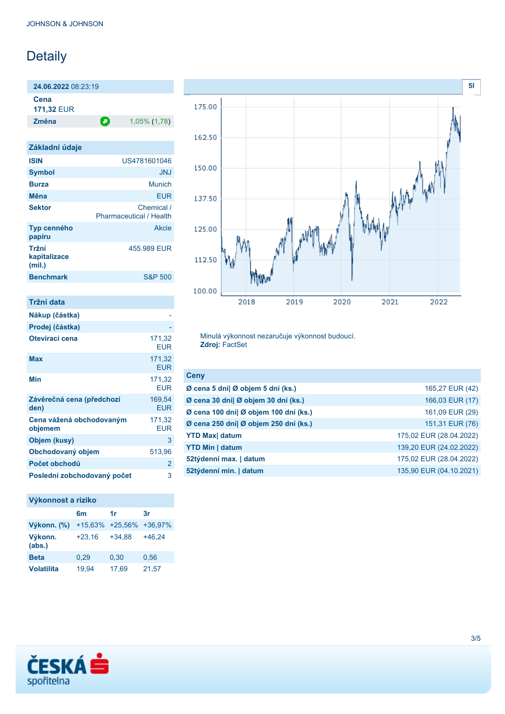# Detaily

**24.06.2022** 08:23:19

**Cena 171,32** EUR

**Změna** 1,05% (1,78)

| Základní údaje                  |                                              |
|---------------------------------|----------------------------------------------|
| <b>ISIN</b>                     | US4781601046                                 |
| <b>Symbol</b>                   | JNJ                                          |
| <b>Burza</b>                    | Munich                                       |
| Měna                            | <b>EUR</b>                                   |
| <b>Sektor</b>                   | Chemical /<br><b>Pharmaceutical / Health</b> |
| Typ cenného<br>papíru           | Akcie                                        |
| Tržní<br>kapitalizace<br>(mil.) | 455.989 FUR                                  |
| <b>Benchmark</b>                | <b>S&amp;P 500</b>                           |

| Tržní data                          |                      |
|-------------------------------------|----------------------|
| Nákup (částka)                      |                      |
| Prodej (částka)                     |                      |
| Otevírací cena                      | 171,32<br>FUR        |
| Max                                 | 171,32<br><b>EUR</b> |
| Min                                 | 171,32<br>FUR        |
| Závěrečná cena (předchozí<br>den)   | 169,54<br><b>EUR</b> |
| Cena vážená obchodovaným<br>objemem | 171,32<br><b>EUR</b> |
| Objem (kusy)                        | 3                    |
| Obchodovaný objem                   | 513,96               |
| Počet obchodů                       | 2                    |
| Poslední zobchodovaný počet         | 3                    |

## **Výkonnost a riziko**

|                   | 6m        | 1r        | 3r       |
|-------------------|-----------|-----------|----------|
| Výkonn. (%)       | $+15,63%$ | $+25,56%$ | +36,97%  |
| Výkonn.<br>(abs.) | $+23,16$  | $+34,88$  | $+46.24$ |
| <b>Beta</b>       | 0.29      | 0,30      | 0,56     |
| <b>Volatilita</b> | 19,94     | 17,69     | 21,57    |



Minulá výkonnost nezaručuje výkonnost budoucí. **Zdroj:** FactSet

| <b>Ceny</b>                           |                         |
|---------------------------------------|-------------------------|
| Ø cena 5 dní  Ø objem 5 dní (ks.)     | 165,27 EUR (42)         |
| Ø cena 30 dní  Ø objem 30 dní (ks.)   | 166,03 EUR (17)         |
| Ø cena 100 dní  Ø objem 100 dní (ks.) | 161,09 EUR (29)         |
| Ø cena 250 dní  Ø objem 250 dní (ks.) | 151,31 EUR (76)         |
| <b>YTD Max</b> datum                  | 175,02 EUR (28.04.2022) |
| <b>YTD Min   datum</b>                | 139,20 EUR (24.02.2022) |
| 52týdenní max.   datum                | 175,02 EUR (28.04.2022) |
| 52týdenní min.   datum                | 135,90 EUR (04.10.2021) |

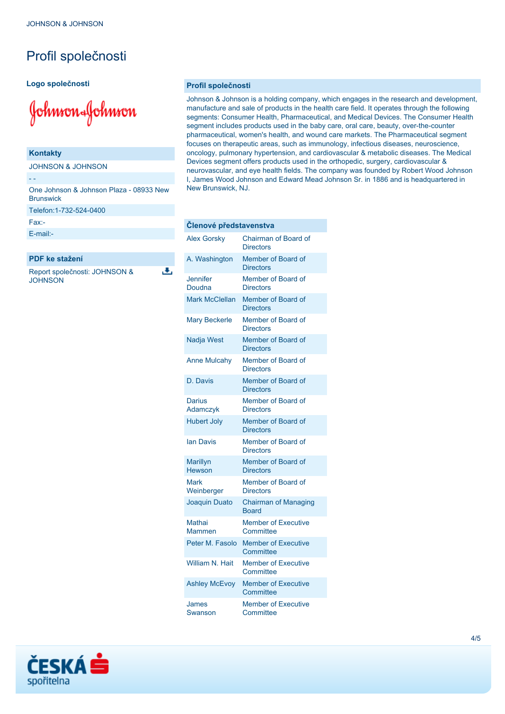# Profil společnosti

### **Logo společnosti**

Johnson&Johnson

#### **Kontakty**

JOHNSON & JOHNSON

One Johnson & Johnson Plaza - 08933 New **Brunswick** Telefon:1-732-524-0400 Fax:-

#### [E-mail:-](mailto:-)

- -

## **PDF ke stažení**

Report společnosti: JOHNSON & **JOHNSON** 

ىل

#### **Profil společnosti**

Johnson & Johnson is a holding company, which engages in the research and development, manufacture and sale of products in the health care field. It operates through the following segments: Consumer Health, Pharmaceutical, and Medical Devices. The Consumer Health segment includes products used in the baby care, oral care, beauty, over-the-counter pharmaceutical, women's health, and wound care markets. The Pharmaceutical segment focuses on therapeutic areas, such as immunology, infectious diseases, neuroscience, oncology, pulmonary hypertension, and cardiovascular & metabolic diseases. The Medical Devices segment offers products used in the orthopedic, surgery, cardiovascular & neurovascular, and eye health fields. The company was founded by Robert Wood Johnson I, James Wood Johnson and Edward Mead Johnson Sr. in 1886 and is headquartered in New Brunswick, NJ.

| Clenové představenstva           |                                                 |
|----------------------------------|-------------------------------------------------|
| <b>Alex Gorsky</b>               | <b>Chairman of Board of</b><br><b>Directors</b> |
| A. Washington                    | Member of Board of<br><b>Directors</b>          |
| <b>Jennifer</b><br>Doudna        | Member of Board of<br><b>Directors</b>          |
| <b>Mark McClellan</b>            | Member of Board of<br><b>Directors</b>          |
| <b>Mary Beckerle</b>             | Member of Board of<br><b>Directors</b>          |
| <b>Nadja West</b>                | Member of Board of<br><b>Directors</b>          |
| <b>Anne Mulcahy</b>              | Member of Board of<br><b>Directors</b>          |
| D. Davis                         | Member of Board of<br><b>Directors</b>          |
| Darius<br>Adamczyk               | Member of Board of<br><b>Directors</b>          |
| <b>Hubert Joly</b>               | Member of Board of<br><b>Directors</b>          |
| lan Davis                        | Member of Board of<br><b>Directors</b>          |
| <b>Marillyn</b><br><b>Hewson</b> | Member of Board of<br><b>Directors</b>          |
| Mark<br>Weinberger               | Member of Board of<br><b>Directors</b>          |
| Joaquin Duato                    | <b>Chairman of Managing</b><br><b>Board</b>     |
| <b>Mathai</b><br>Mammen          | <b>Member of Executive</b><br>Committee         |
| Peter M. Fasolo                  | <b>Member of Executive</b><br>Committee         |
| William N. Hait                  | <b>Member of Executive</b><br>Committee         |
| <b>Ashley McEvoy</b>             | <b>Member of Executive</b><br>Committee         |
| James<br>Swanson                 | <b>Member of Executive</b><br>Committee         |